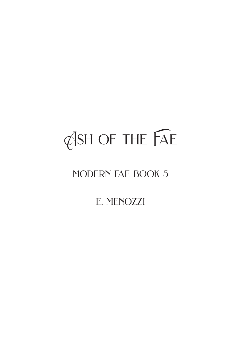# Ash of the Fae

### modern fae book 5

e. menozzi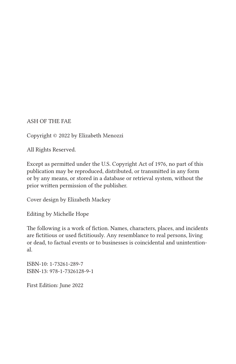#### ASH OF THE FAE

Copyright © 2022 by Elizabeth Menozzi

All Rights Reserved.

Except as permitted under the U.S. Copyright Act of 1976, no part of this publication may be reproduced, distributed, or transmitted in any form or by any means, or stored in a database or retrieval system, without the prior written permission of the publisher.

Cover design by Elizabeth Mackey

Editing by Michelle Hope

The following is a work of fiction. Names, characters, places, and incidents are fictitious or used fictitiously. Any resemblance to real persons, living or dead, to factual events or to businesses is coincidental and unintentional.

ISBN-10: 1-73261-289-7 ISBN-13: 978-1-7326128-9-1

First Edition: June 2022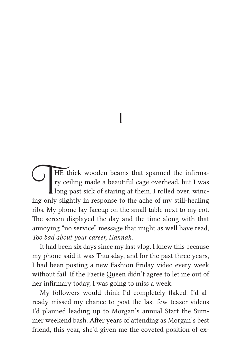1

THE thick wooden beams that spanned the infirma-<br>ry ceiling made a beautiful cage overhead, but I was<br>long past sick of staring at them. I rolled over, wincry ceiling made a beautiful cage overhead, but I was long past sick of staring at them. I rolled over, wincing only slightly in response to the ache of my still-healing ribs. My phone lay faceup on the small table next to my cot. The screen displayed the day and the time along with that annoying "no service" message that might as well have read, *Too bad about your career, Hannah.*

It had been six days since my last vlog. I knew this because my phone said it was Thursday, and for the past three years, I had been posting a new Fashion Friday video every week without fail. If the Faerie Queen didn't agree to let me out of her infirmary today, I was going to miss a week.

My followers would think I'd completely flaked. I'd already missed my chance to post the last few teaser videos I'd planned leading up to Morgan's annual Start the Summer weekend bash. After years of attending as Morgan's best friend, this year, she'd given me the coveted position of ex-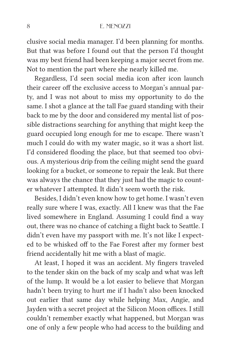clusive social media manager. I'd been planning for months. But that was before I found out that the person I'd thought was my best friend had been keeping a major secret from me. Not to mention the part where she nearly killed me.

Regardless, I'd seen social media icon after icon launch their career off the exclusive access to Morgan's annual party, and I was not about to miss my opportunity to do the same. I shot a glance at the tall Fae guard standing with their back to me by the door and considered my mental list of possible distractions searching for anything that might keep the guard occupied long enough for me to escape. There wasn't much I could do with my water magic, so it was a short list. I'd considered flooding the place, but that seemed too obvious. A mysterious drip from the ceiling might send the guard looking for a bucket, or someone to repair the leak. But there was always the chance that they just had the magic to counter whatever I attempted. It didn't seem worth the risk.

Besides, I didn't even know how to get home. I wasn't even really sure where I was, exactly. All I knew was that the Fae lived somewhere in England. Assuming I could find a way out, there was no chance of catching a flight back to Seattle. I didn't even have my passport with me. It's not like I expected to be whisked off to the Fae Forest after my former best friend accidentally hit me with a blast of magic.

At least, I hoped it was an accident. My fingers traveled to the tender skin on the back of my scalp and what was left of the lump. It would be a lot easier to believe that Morgan hadn't been trying to hurt me if I hadn't also been knocked out earlier that same day while helping Max, Angie, and Jayden with a secret project at the Silicon Moon offices. I still couldn't remember exactly what happened, but Morgan was one of only a few people who had access to the building and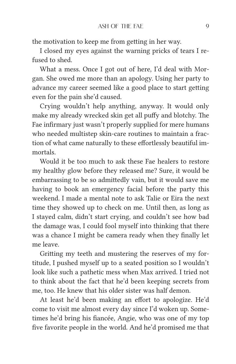the motivation to keep me from getting in her way.

I closed my eyes against the warning pricks of tears I refused to shed.

What a mess. Once I got out of here, I'd deal with Morgan. She owed me more than an apology. Using her party to advance my career seemed like a good place to start getting even for the pain she'd caused.

Crying wouldn't help anything, anyway. It would only make my already wrecked skin get all puffy and blotchy. The Fae infirmary just wasn't properly supplied for mere humans who needed multistep skin-care routines to maintain a fraction of what came naturally to these effortlessly beautiful immortals.

Would it be too much to ask these Fae healers to restore my healthy glow before they released me? Sure, it would be embarrassing to be so admittedly vain, but it would save me having to book an emergency facial before the party this weekend. I made a mental note to ask Talie or Eira the next time they showed up to check on me. Until then, as long as I stayed calm, didn't start crying, and couldn't see how bad the damage was, I could fool myself into thinking that there was a chance I might be camera ready when they finally let me leave.

Gritting my teeth and mustering the reserves of my fortitude, I pushed myself up to a seated position so I wouldn't look like such a pathetic mess when Max arrived. I tried not to think about the fact that he'd been keeping secrets from me, too. He knew that his older sister was half demon.

At least he'd been making an effort to apologize. He'd come to visit me almost every day since I'd woken up. Sometimes he'd bring his fiancée, Angie, who was one of my top five favorite people in the world. And he'd promised me that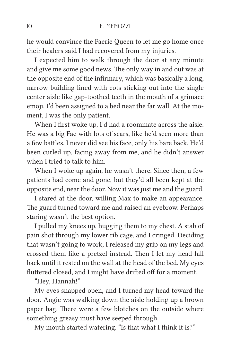he would convince the Faerie Queen to let me go home once their healers said I had recovered from my injuries.

I expected him to walk through the door at any minute and give me some good news. The only way in and out was at the opposite end of the infirmary, which was basically a long, narrow building lined with cots sticking out into the single center aisle like gap-toothed teeth in the mouth of a grimace emoji. I'd been assigned to a bed near the far wall. At the moment, I was the only patient.

When I first woke up, I'd had a roommate across the aisle. He was a big Fae with lots of scars, like he'd seen more than a few battles. I never did see his face, only his bare back. He'd been curled up, facing away from me, and he didn't answer when I tried to talk to him.

When I woke up again, he wasn't there. Since then, a few patients had come and gone, but they'd all been kept at the opposite end, near the door. Now it was just me and the guard.

I stared at the door, willing Max to make an appearance. The guard turned toward me and raised an eyebrow. Perhaps staring wasn't the best option.

I pulled my knees up, hugging them to my chest. A stab of pain shot through my lower rib cage, and I cringed. Deciding that wasn't going to work, I released my grip on my legs and crossed them like a pretzel instead. Then I let my head fall back until it rested on the wall at the head of the bed. My eyes fluttered closed, and I might have drifted off for a moment.

"Hey, Hannah!"

My eyes snapped open, and I turned my head toward the door. Angie was walking down the aisle holding up a brown paper bag. There were a few blotches on the outside where something greasy must have seeped through.

My mouth started watering. "Is that what I think it is?"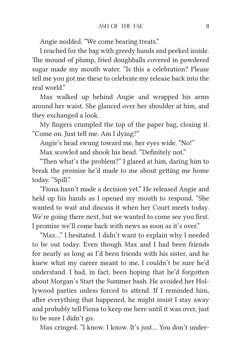Angie nodded. "We come bearing treats."

I reached for the bag with greedy hands and peeked inside. The mound of plump, fried doughballs covered in powdered sugar made my mouth water. "Is this a celebration? Please tell me you got me these to celebrate my release back into the real world."

Max walked up behind Angie and wrapped his arms around her waist. She glanced over her shoulder at him, and they exchanged a look.

My fingers crumpled the top of the paper bag, closing it. "Come on. Just tell me. Am I dying?"

Angie's head swung toward me, her eyes wide. "No!"

Max scowled and shook his head. "Definitely not."

"Then what's the problem?" I glared at him, daring him to break the promise he'd made to me about getting me home today. "Spill."

"Fiona hasn't made a decision yet." He released Angie and held up his hands as I opened my mouth to respond. "She wanted to wait and discuss it when her Court meets today. We're going there next, but we wanted to come see you first. I promise we'll come back with news as soon as it's over."

"Max…" I hesitated. I didn't want to explain why I needed to be out today. Even though Max and I had been friends for nearly as long as I'd been friends with his sister, and he knew what my career meant to me, I couldn't be sure he'd understand. I had, in fact, been hoping that he'd forgotten about Morgan's Start the Summer bash. He avoided her Hollywood parties unless forced to attend. If I reminded him, after everything that happened, he might insist I stay away and probably tell Fiona to keep me here until it was over, just to be sure I didn't go.

Max cringed. "I know. I know. It's just… You don't under-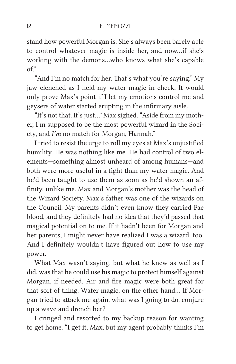stand how powerful Morgan is. She's always been barely able to control whatever magic is inside her, and now…if she's working with the demons…who knows what she's capable of."

"And I'm no match for her. That's what you're saying." My jaw clenched as I held my water magic in check. It would only prove Max's point if I let my emotions control me and geysers of water started erupting in the infirmary aisle.

"It's not that. It's just…" Max sighed. "Aside from my mother, I'm supposed to be the most powerful wizard in the Society, and *I'm* no match for Morgan, Hannah."

I tried to resist the urge to roll my eyes at Max's unjustified humility. He was nothing like me. He had control of two elements—something almost unheard of among humans—and both were more useful in a fight than my water magic. And he'd been taught to use them as soon as he'd shown an affinity, unlike me. Max and Morgan's mother was the head of the Wizard Society. Max's father was one of the wizards on the Council. My parents didn't even know they carried Fae blood, and they definitely had no idea that they'd passed that magical potential on to me. If it hadn't been for Morgan and her parents, I might never have realized I was a wizard, too. And I definitely wouldn't have figured out how to use my power.

What Max wasn't saying, but what he knew as well as I did, was that he could use his magic to protect himself against Morgan, if needed. Air and fire magic were both great for that sort of thing. Water magic, on the other hand… If Morgan tried to attack me again, what was I going to do, conjure up a wave and drench her?

I cringed and resorted to my backup reason for wanting to get home. "I get it, Max, but my agent probably thinks I'm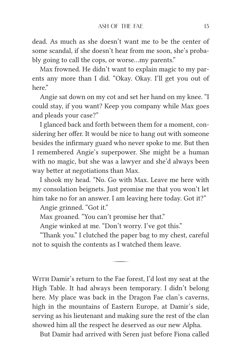dead. As much as she doesn't want me to be the center of some scandal, if she doesn't hear from me soon, she's probably going to call the cops, or worse…my parents."

Max frowned. He didn't want to explain magic to my parents any more than I did. "Okay. Okay. I'll get you out of here."

Angie sat down on my cot and set her hand on my knee. "I could stay, if you want? Keep you company while Max goes and pleads your case?"

I glanced back and forth between them for a moment, considering her offer. It would be nice to hang out with someone besides the infirmary guard who never spoke to me. But then I remembered Angie's superpower. She might be a human with no magic, but she was a lawyer and she'd always been way better at negotiations than Max.

I shook my head. "No. Go with Max. Leave me here with my consolation beignets. Just promise me that you won't let him take no for an answer. I am leaving here today. Got it?"

Angie grinned. "Got it."

Max groaned. "You can't promise her that."

Angie winked at me. "Don't worry. I've got this."

"Thank you." I clutched the paper bag to my chest, careful not to squish the contents as I watched them leave.

WITH Damir's return to the Fae forest, I'd lost my seat at the High Table. It had always been temporary. I didn't belong here. My place was back in the Dragon Fae clan's caverns, high in the mountains of Eastern Europe, at Damir's side, serving as his lieutenant and making sure the rest of the clan showed him all the respect he deserved as our new Alpha.

But Damir had arrived with Seren just before Fiona called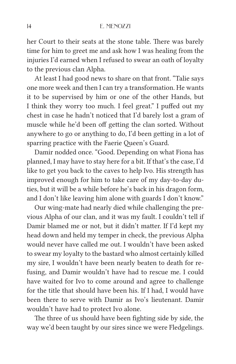her Court to their seats at the stone table. There was barely time for him to greet me and ask how I was healing from the injuries I'd earned when I refused to swear an oath of loyalty to the previous clan Alpha.

At least I had good news to share on that front. "Talie says one more week and then I can try a transformation. He wants it to be supervised by him or one of the other Hands, but I think they worry too much. I feel great." I puffed out my chest in case he hadn't noticed that I'd barely lost a gram of muscle while he'd been off getting the clan sorted. Without anywhere to go or anything to do, I'd been getting in a lot of sparring practice with the Faerie Queen's Guard.

Damir nodded once. "Good. Depending on what Fiona has planned, I may have to stay here for a bit. If that's the case, I'd like to get you back to the caves to help Ivo. His strength has improved enough for him to take care of my day-to-day duties, but it will be a while before he's back in his dragon form, and I don't like leaving him alone with guards I don't know."

Our wing-mate had nearly died while challenging the previous Alpha of our clan, and it was my fault. I couldn't tell if Damir blamed me or not, but it didn't matter. If I'd kept my head down and held my temper in check, the previous Alpha would never have called me out. I wouldn't have been asked to swear my loyalty to the bastard who almost certainly killed my sire, I wouldn't have been nearly beaten to death for refusing, and Damir wouldn't have had to rescue me. I could have waited for Ivo to come around and agree to challenge for the title that should have been his. If I had, I would have been there to serve with Damir as Ivo's lieutenant. Damir wouldn't have had to protect Ivo alone.

The three of us should have been fighting side by side, the way we'd been taught by our sires since we were Fledgelings.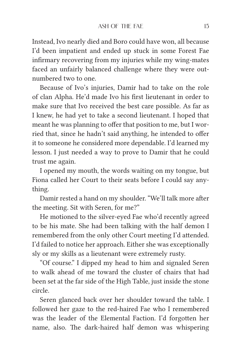Instead, Ivo nearly died and Boro could have won, all because I'd been impatient and ended up stuck in some Forest Fae infirmary recovering from my injuries while my wing-mates faced an unfairly balanced challenge where they were outnumbered two to one.

Because of Ivo's injuries, Damir had to take on the role of clan Alpha. He'd made Ivo his first lieutenant in order to make sure that Ivo received the best care possible. As far as I knew, he had yet to take a second lieutenant. I hoped that meant he was planning to offer that position to me, but I worried that, since he hadn't said anything, he intended to offer it to someone he considered more dependable. I'd learned my lesson. I just needed a way to prove to Damir that he could trust me again.

I opened my mouth, the words waiting on my tongue, but Fiona called her Court to their seats before I could say anything.

Damir rested a hand on my shoulder. "We'll talk more after the meeting. Sit with Seren, for me?"

He motioned to the silver-eyed Fae who'd recently agreed to be his mate. She had been talking with the half demon I remembered from the only other Court meeting I'd attended. I'd failed to notice her approach. Either she was exceptionally sly or my skills as a lieutenant were extremely rusty.

"Of course." I dipped my head to him and signaled Seren to walk ahead of me toward the cluster of chairs that had been set at the far side of the High Table, just inside the stone circle.

Seren glanced back over her shoulder toward the table. I followed her gaze to the red-haired Fae who I remembered was the leader of the Elemental Faction. I'd forgotten her name, also. The dark-haired half demon was whispering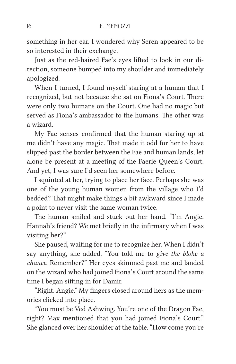something in her ear. I wondered why Seren appeared to be so interested in their exchange.

Just as the red-haired Fae's eyes lifted to look in our direction, someone bumped into my shoulder and immediately apologized.

When I turned, I found myself staring at a human that I recognized, but not because she sat on Fiona's Court. There were only two humans on the Court. One had no magic but served as Fiona's ambassador to the humans. The other was a wizard.

My Fae senses confirmed that the human staring up at me didn't have any magic. That made it odd for her to have slipped past the border between the Fae and human lands, let alone be present at a meeting of the Faerie Queen's Court. And yet, I was sure I'd seen her somewhere before.

I squinted at her, trying to place her face. Perhaps she was one of the young human women from the village who I'd bedded? That might make things a bit awkward since I made a point to never visit the same woman twice.

The human smiled and stuck out her hand. "I'm Angie. Hannah's friend? We met briefly in the infirmary when I was visiting her?"

She paused, waiting for me to recognize her. When I didn't say anything, she added, "You told me to *give the bloke a chance*. Remember?" Her eyes skimmed past me and landed on the wizard who had joined Fiona's Court around the same time I began sitting in for Damir.

"Right. Angie." My fingers closed around hers as the memories clicked into place.

"You must be Ved Ashwing. You're one of the Dragon Fae, right? Max mentioned that you had joined Fiona's Court." She glanced over her shoulder at the table. "How come you're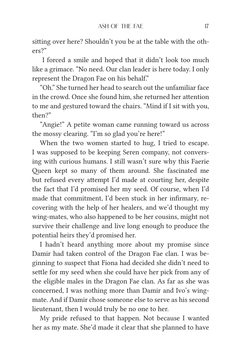sitting over here? Shouldn't you be at the table with the others?"

 I forced a smile and hoped that it didn't look too much like a grimace. "No need. Our clan leader is here today. I only represent the Dragon Fae on his behalf."

"Oh." She turned her head to search out the unfamiliar face in the crowd. Once she found him, she returned her attention to me and gestured toward the chairs. "Mind if I sit with you, then?"

"Angie!" A petite woman came running toward us across the mossy clearing. "I'm so glad you're here!"

When the two women started to hug, I tried to escape. I was supposed to be keeping Seren company, not conversing with curious humans. I still wasn't sure why this Faerie Queen kept so many of them around. She fascinated me but refused every attempt I'd made at courting her, despite the fact that I'd promised her my seed. Of course, when I'd made that commitment, I'd been stuck in her infirmary, recovering with the help of her healers, and we'd thought my wing-mates, who also happened to be her cousins, might not survive their challenge and live long enough to produce the potential heirs they'd promised her.

I hadn't heard anything more about my promise since Damir had taken control of the Dragon Fae clan. I was beginning to suspect that Fiona had decided she didn't need to settle for my seed when she could have her pick from any of the eligible males in the Dragon Fae clan. As far as she was concerned, I was nothing more than Damir and Ivo's wingmate. And if Damir chose someone else to serve as his second lieutenant, then I would truly be no one to her.

My pride refused to that happen. Not because I wanted her as my mate. She'd made it clear that she planned to have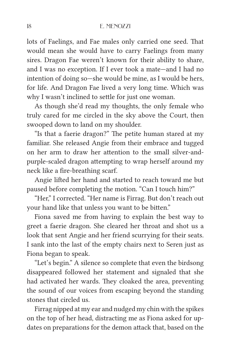lots of Faelings, and Fae males only carried one seed. That would mean she would have to carry Faelings from many sires. Dragon Fae weren't known for their ability to share, and I was no exception. If I ever took a mate—and I had no intention of doing so—she would be mine, as I would be hers, for life. And Dragon Fae lived a very long time. Which was why I wasn't inclined to settle for just one woman.

As though she'd read my thoughts, the only female who truly cared for me circled in the sky above the Court, then swooped down to land on my shoulder.

"Is that a faerie dragon?" The petite human stared at my familiar. She released Angie from their embrace and tugged on her arm to draw her attention to the small silver-andpurple-scaled dragon attempting to wrap herself around my neck like a fire-breathing scarf.

Angie lifted her hand and started to reach toward me but paused before completing the motion. "Can I touch him?"

"Her," I corrected. "Her name is Firrag. But don't reach out your hand like that unless you want to be bitten."

Fiona saved me from having to explain the best way to greet a faerie dragon. She cleared her throat and shot us a look that sent Angie and her friend scurrying for their seats. I sank into the last of the empty chairs next to Seren just as Fiona began to speak.

"Let's begin." A silence so complete that even the birdsong disappeared followed her statement and signaled that she had activated her wards. They cloaked the area, preventing the sound of our voices from escaping beyond the standing stones that circled us.

Firrag nipped at my ear and nudged my chin with the spikes on the top of her head, distracting me as Fiona asked for updates on preparations for the demon attack that, based on the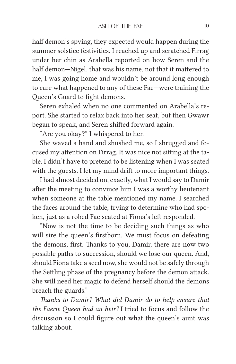half demon's spying, they expected would happen during the summer solstice festivities. I reached up and scratched Firrag under her chin as Arabella reported on how Seren and the half demon—Nigel, that was his name, not that it mattered to me, I was going home and wouldn't be around long enough to care what happened to any of these Fae—were training the Queen's Guard to fight demons.

Seren exhaled when no one commented on Arabella's report. She started to relax back into her seat, but then Gwawr began to speak, and Seren shifted forward again.

"Are you okay?" I whispered to her.

She waved a hand and shushed me, so I shrugged and focused my attention on Firrag. It was nice not sitting at the table. I didn't have to pretend to be listening when I was seated with the guests. I let my mind drift to more important things.

I had almost decided on, exactly, what I would say to Damir after the meeting to convince him I was a worthy lieutenant when someone at the table mentioned my name. I searched the faces around the table, trying to determine who had spoken, just as a robed Fae seated at Fiona's left responded.

"Now is not the time to be deciding such things as who will sire the queen's firstborn. We must focus on defeating the demons, first. Thanks to you, Damir, there are now two possible paths to succession, should we lose our queen. And, should Fiona take a seed now, she would not be safely through the Settling phase of the pregnancy before the demon attack. She will need her magic to defend herself should the demons breach the guards."

*Thanks to Damir? What did Damir do to help ensure that the Faerie Queen had an heir?* I tried to focus and follow the discussion so I could figure out what the queen's aunt was talking about.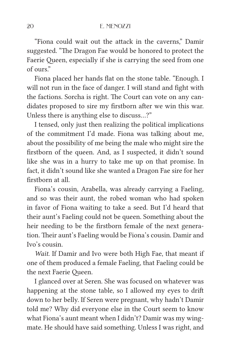"Fiona could wait out the attack in the caverns," Damir suggested. "The Dragon Fae would be honored to protect the Faerie Queen, especially if she is carrying the seed from one of ours."

Fiona placed her hands flat on the stone table. "Enough. I will not run in the face of danger. I will stand and fight with the factions. Sorcha is right. The Court can vote on any candidates proposed to sire my firstborn after we win this war. Unless there is anything else to discuss…?"

I tensed, only just then realizing the political implications of the commitment I'd made. Fiona was talking about me, about the possibility of me being the male who might sire the firstborn of the queen. And, as I suspected, it didn't sound like she was in a hurry to take me up on that promise. In fact, it didn't sound like she wanted a Dragon Fae sire for her firstborn at all.

Fiona's cousin, Arabella, was already carrying a Faeling, and so was their aunt, the robed woman who had spoken in favor of Fiona waiting to take a seed. But I'd heard that their aunt's Faeling could not be queen. Something about the heir needing to be the firstborn female of the next generation. Their aunt's Faeling would be Fiona's cousin. Damir and Ivo's cousin.

*Wait*. If Damir and Ivo were both High Fae, that meant if one of them produced a female Faeling, that Faeling could be the next Faerie Queen.

I glanced over at Seren. She was focused on whatever was happening at the stone table, so I allowed my eyes to drift down to her belly. If Seren were pregnant, why hadn't Damir told me? Why did everyone else in the Court seem to know what Fiona's aunt meant when I didn't? Damir was my wingmate. He should have said something. Unless I was right, and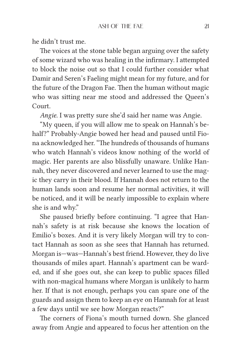he didn't trust me.

The voices at the stone table began arguing over the safety of some wizard who was healing in the infirmary. I attempted to block the noise out so that I could further consider what Damir and Seren's Faeling might mean for my future, and for the future of the Dragon Fae. Then the human without magic who was sitting near me stood and addressed the Queen's Court.

*Angie*. I was pretty sure she'd said her name was Angie.

"My queen, if you will allow me to speak on Hannah's behalf?" Probably-Angie bowed her head and paused until Fiona acknowledged her. "The hundreds of thousands of humans who watch Hannah's videos know nothing of the world of magic. Her parents are also blissfully unaware. Unlike Hannah, they never discovered and never learned to use the magic they carry in their blood. If Hannah does not return to the human lands soon and resume her normal activities, it will be noticed, and it will be nearly impossible to explain where she is and why."

She paused briefly before continuing. "I agree that Hannah's safety is at risk because she knows the location of Emilio's boxes. And it is very likely Morgan will try to contact Hannah as soon as she sees that Hannah has returned. Morgan is—was—Hannah's best friend. However, they do live thousands of miles apart. Hannah's apartment can be warded, and if she goes out, she can keep to public spaces filled with non-magical humans where Morgan is unlikely to harm her. If that is not enough, perhaps you can spare one of the guards and assign them to keep an eye on Hannah for at least a few days until we see how Morgan reacts?"

The corners of Fiona's mouth turned down. She glanced away from Angie and appeared to focus her attention on the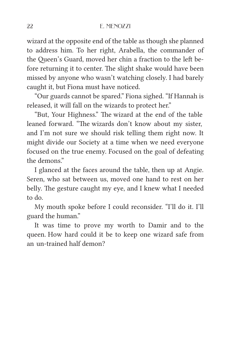wizard at the opposite end of the table as though she planned to address him. To her right, Arabella, the commander of the Queen's Guard, moved her chin a fraction to the left before returning it to center. The slight shake would have been missed by anyone who wasn't watching closely. I had barely caught it, but Fiona must have noticed.

"Our guards cannot be spared." Fiona sighed. "If Hannah is released, it will fall on the wizards to protect her."

"But, Your Highness." The wizard at the end of the table leaned forward. "The wizards don't know about my sister, and I'm not sure we should risk telling them right now. It might divide our Society at a time when we need everyone focused on the true enemy. Focused on the goal of defeating the demons."

I glanced at the faces around the table, then up at Angie. Seren, who sat between us, moved one hand to rest on her belly. The gesture caught my eye, and I knew what I needed to do.

My mouth spoke before I could reconsider. "I'll do it. I'll guard the human."

It was time to prove my worth to Damir and to the queen. How hard could it be to keep one wizard safe from an un-trained half demon?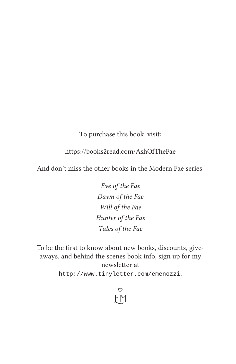To purchase this book, visit:

https://books2read.com/AshOfTheFae

And don't miss the other books in the Modern Fae series:

*Eve of the Fae Dawn of the Fae Will of the Fae Hunter of the Fae Tales of the Fae*

To be the first to know about new books, discounts, giveaways, and behind the scenes book info, sign up for my newsletter at http://www.tinyletter.com/emenozzi.

> $\heartsuit$ E M